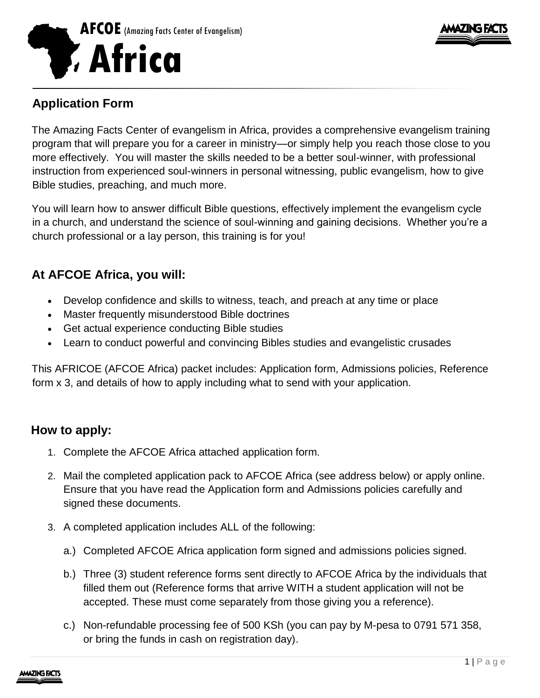



## **Application Form**

The Amazing Facts Center of evangelism in Africa, provides a comprehensive evangelism training program that will prepare you for a career in ministry—or simply help you reach those close to you more effectively. You will master the skills needed to be a better soul-winner, with professional instruction from experienced soul-winners in personal witnessing, public evangelism, how to give Bible studies, preaching, and much more.

You will learn how to answer difficult Bible questions, effectively implement the evangelism cycle in a church, and understand the science of soul-winning and gaining decisions. Whether you're a church professional or a lay person, this training is for you!

# **At AFCOE Africa, you will:**

- Develop confidence and skills to witness, teach, and preach at any time or place
- Master frequently misunderstood Bible doctrines
- Get actual experience conducting Bible studies
- Learn to conduct powerful and convincing Bibles studies and evangelistic crusades

This AFRICOE (AFCOE Africa) packet includes: Application form, Admissions policies, Reference form x 3, and details of how to apply including what to send with your application.

## **How to apply:**

- 1. Complete the AFCOE Africa attached application form.
- 2. Mail the completed application pack to AFCOE Africa (see address below) or apply online. Ensure that you have read the Application form and Admissions policies carefully and signed these documents.
- 3. A completed application includes ALL of the following:
	- a.) Completed AFCOE Africa application form signed and admissions policies signed.
	- b.) Three (3) student reference forms sent directly to AFCOE Africa by the individuals that filled them out (Reference forms that arrive WITH a student application will not be accepted. These must come separately from those giving you a reference).
	- c.) Non-refundable processing fee of 500 KSh (you can pay by M-pesa to 0791 571 358, or bring the funds in cash on registration day).

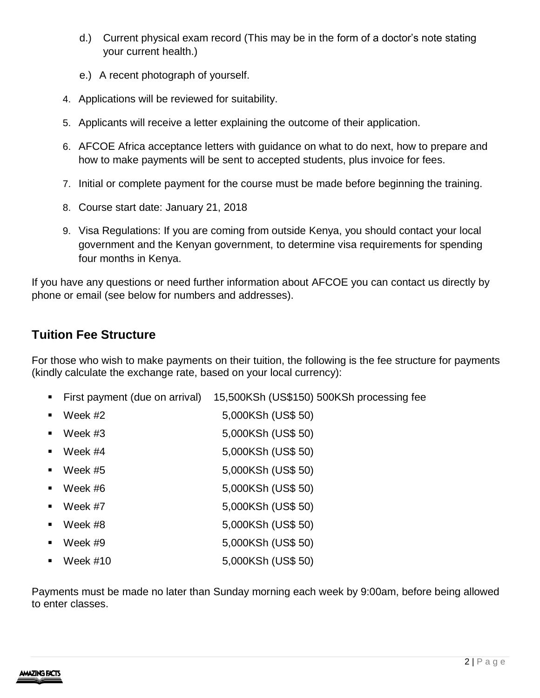- d.) Current physical exam record (This may be in the form of a doctor's note stating your current health.)
- e.) A recent photograph of yourself.
- 4. Applications will be reviewed for suitability.
- 5. Applicants will receive a letter explaining the outcome of their application.
- 6. AFCOE Africa acceptance letters with guidance on what to do next, how to prepare and how to make payments will be sent to accepted students, plus invoice for fees.
- 7. Initial or complete payment for the course must be made before beginning the training.
- 8. Course start date: January 21, 2018
- 9. Visa Regulations: If you are coming from outside Kenya, you should contact your local government and the Kenyan government, to determine visa requirements for spending four months in Kenya.

If you have any questions or need further information about AFCOE you can contact us directly by phone or email (see below for numbers and addresses).

#### **Tuition Fee Structure**

For those who wish to make payments on their tuition, the following is the fee structure for payments (kindly calculate the exchange rate, based on your local currency):

- First payment (due on arrival) 15,500KSh (US\$150) 500KSh processing fee
- Week #2 5,000KSh (US\$ 50)
- Week #3 5,000KSh (US\$ 50)
- Week #4 5,000KSh (US\$ 50)
- Week #5 5,000KSh (US\$ 50)
- $Week \#6$  5,000KSh (US\$ 50)
- Week #7 5,000KSh (US\$ 50)
- Week #8 5,000KSh (US\$ 50)
- Week #9 5,000KSh (US\$ 50)
- Week #10 5,000KSh (US\$ 50)

Payments must be made no later than Sunday morning each week by 9:00am, before being allowed to enter classes.

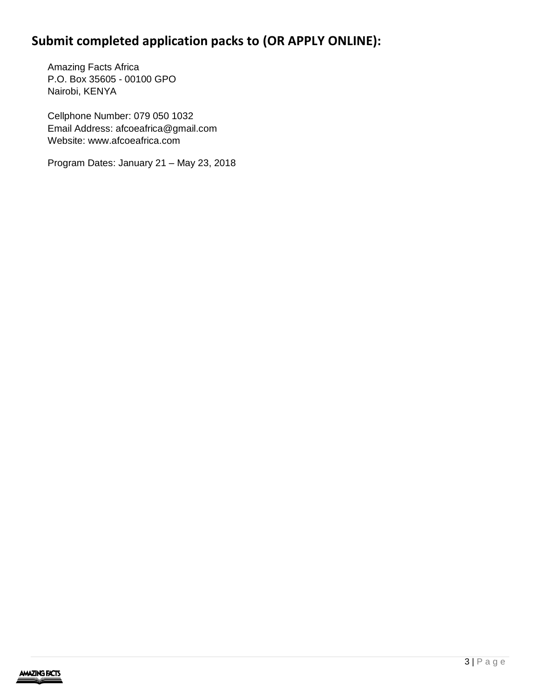# **Submit completed application packs to (OR APPLY ONLINE):**

Amazing Facts Africa P.O. Box 35605 - 00100 GPO Nairobi, KENYA

Cellphone Number: 079 050 1032 Email Address: afcoeafrica@gmail.com Website: www.afcoeafrica.com

Program Dates: January 21 – May 23, 2018

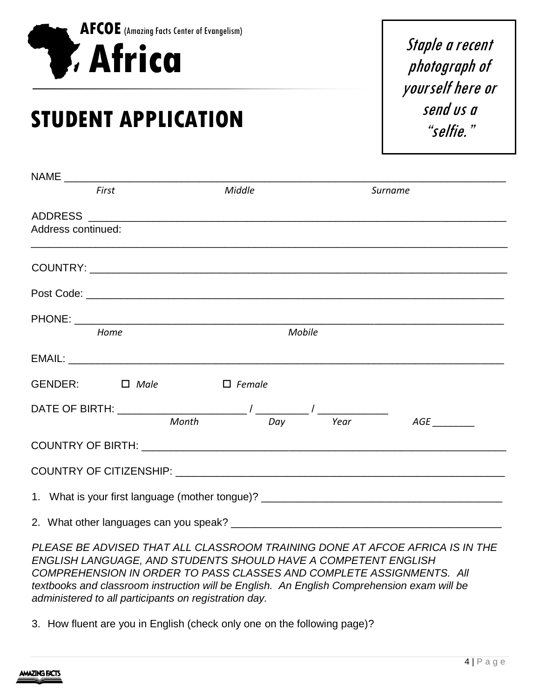

# **STUDENT APPLICATION**

Staple a recent photograph of yourself here or send us a "selfie."

|                    | First                   | Middle |          | Surname |  |
|--------------------|-------------------------|--------|----------|---------|--|
|                    |                         |        |          |         |  |
| Address continued: |                         |        |          |         |  |
|                    |                         |        |          |         |  |
|                    |                         |        |          |         |  |
|                    |                         |        |          |         |  |
|                    | Home                    | Mobile |          |         |  |
|                    |                         |        |          |         |  |
|                    | GENDER: □ Male □ Female |        |          |         |  |
|                    |                         |        |          |         |  |
|                    | Month                   |        | Day Year |         |  |
|                    |                         |        |          |         |  |
|                    |                         |        |          |         |  |
|                    |                         |        |          |         |  |
|                    |                         |        |          |         |  |

*PLEASE BE ADVISED THAT ALL CLASSROOM TRAINING DONE AT AFCOE AFRICA IS IN THE ENGLISH LANGUAGE, AND STUDENTS SHOULD HAVE A COMPETENT ENGLISH COMPREHENSION IN ORDER TO PASS CLASSES AND COMPLETE ASSIGNMENTS. All textbooks and classroom instruction will be English. An English Comprehension exam will be administered to all participants on registration day.*

3. How fluent are you in English (check only one on the following page)?

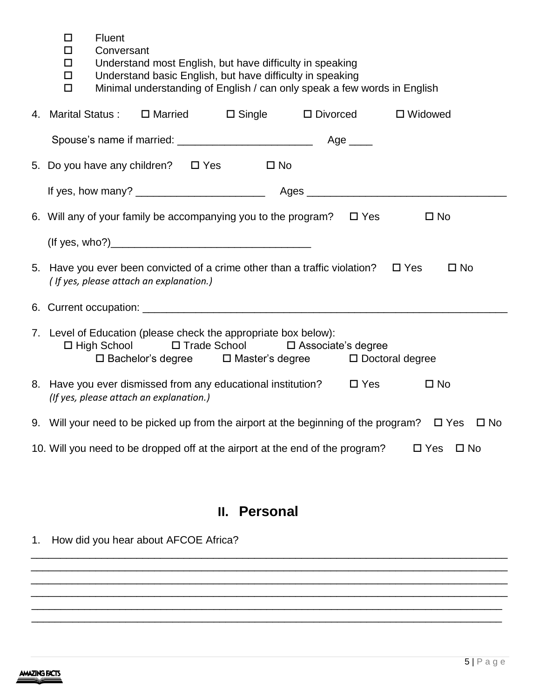- Fluent
- D Conversant
- □ Understand most English, but have difficulty in speaking
- □ Understand basic English, but have difficulty in speaking<br>□ Minimal understanding of English / can only speak a few
- Minimal understanding of English / can only speak a few words in English

| 4. Marital Status: $\Box$ Married $\Box$ Single $\Box$ Divorced                                                                  |  |                                                                                                                                      | □ Widowed                                                                                                |
|----------------------------------------------------------------------------------------------------------------------------------|--|--------------------------------------------------------------------------------------------------------------------------------------|----------------------------------------------------------------------------------------------------------|
|                                                                                                                                  |  |                                                                                                                                      |                                                                                                          |
|                                                                                                                                  |  |                                                                                                                                      |                                                                                                          |
|                                                                                                                                  |  |                                                                                                                                      |                                                                                                          |
| 6. Will any of your family be accompanying you to the program? $\Box$ Yes                                                        |  |                                                                                                                                      | $\square$ No                                                                                             |
|                                                                                                                                  |  |                                                                                                                                      |                                                                                                          |
| 5. Have you ever been convicted of a crime other than a traffic violation? $\Box$ Yes<br>(If yes, please attach an explanation.) |  |                                                                                                                                      | $\square$ No                                                                                             |
|                                                                                                                                  |  |                                                                                                                                      |                                                                                                          |
| 7. Level of Education (please check the appropriate box below):                                                                  |  | □ High School □ Trade School □ Associate's degree<br>$\square$ Bachelor's degree $\square$ Master's degree $\square$ Doctoral degree |                                                                                                          |
| 8. Have you ever dismissed from any educational institution? □ Yes<br>(If yes, please attach an explanation.)                    |  |                                                                                                                                      | $\square$ No                                                                                             |
|                                                                                                                                  |  |                                                                                                                                      | 9. Will your need to be picked up from the airport at the beginning of the program? $\Box$ Yes $\Box$ No |
| 10. Will you need to be dropped off at the airport at the end of the program?                                                    |  |                                                                                                                                      | $\Box$ Yes $\Box$ No                                                                                     |

# **II. Personal**

\_\_\_\_\_\_\_\_\_\_\_\_\_\_\_\_\_\_\_\_\_\_\_\_\_\_\_\_\_\_\_\_\_\_\_\_\_\_\_\_\_\_\_\_\_\_\_\_\_\_\_\_\_\_\_\_\_\_\_\_\_\_\_\_\_\_\_\_\_\_\_\_\_\_\_\_\_\_\_\_\_ \_\_\_\_\_\_\_\_\_\_\_\_\_\_\_\_\_\_\_\_\_\_\_\_\_\_\_\_\_\_\_\_\_\_\_\_\_\_\_\_\_\_\_\_\_\_\_\_\_\_\_\_\_\_\_\_\_\_\_\_\_\_\_\_\_\_\_\_\_\_\_\_\_\_\_\_\_\_\_\_\_ \_\_\_\_\_\_\_\_\_\_\_\_\_\_\_\_\_\_\_\_\_\_\_\_\_\_\_\_\_\_\_\_\_\_\_\_\_\_\_\_\_\_\_\_\_\_\_\_\_\_\_\_\_\_\_\_\_\_\_\_\_\_\_\_\_\_\_\_\_\_\_\_\_\_\_\_\_\_\_\_\_ \_\_\_\_\_\_\_\_\_\_\_\_\_\_\_\_\_\_\_\_\_\_\_\_\_\_\_\_\_\_\_\_\_\_\_\_\_\_\_\_\_\_\_\_\_\_\_\_\_\_\_\_\_\_\_\_\_\_\_\_\_\_\_\_\_\_\_\_\_\_\_\_\_\_\_\_\_\_\_\_\_ \_\_\_\_\_\_\_\_\_\_\_\_\_\_\_\_\_\_\_\_\_\_\_\_\_\_\_\_\_\_\_\_\_\_\_\_\_\_\_\_\_\_\_\_\_\_\_\_\_\_\_\_\_\_\_\_\_\_\_\_\_\_\_\_\_\_\_\_\_\_\_\_\_\_\_\_\_\_\_\_ \_\_\_\_\_\_\_\_\_\_\_\_\_\_\_\_\_\_\_\_\_\_\_\_\_\_\_\_\_\_\_\_\_\_\_\_\_\_\_\_\_\_\_\_\_\_\_\_\_\_\_\_\_\_\_\_\_\_\_\_\_\_\_\_\_\_\_\_\_\_\_\_\_\_\_\_\_\_\_\_

1. How did you hear about AFCOE Africa?

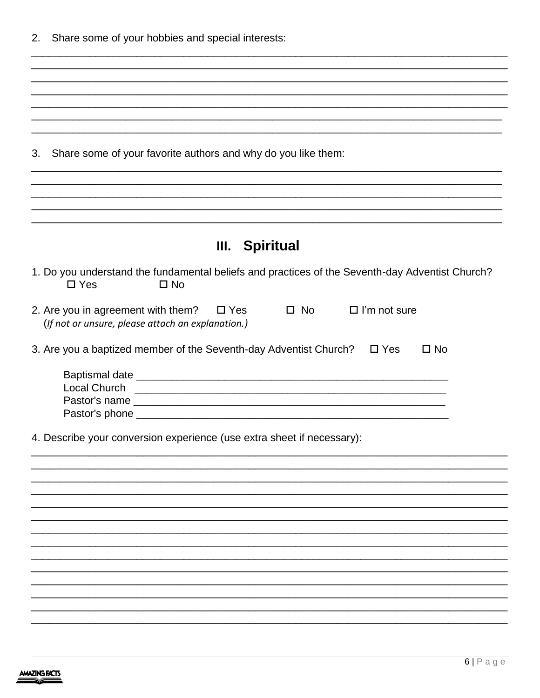|  | 2. Share some of your hobbies and special interests: |  |  |  |  |  |
|--|------------------------------------------------------|--|--|--|--|--|
|--|------------------------------------------------------|--|--|--|--|--|

| Share some of your favorite authors and why do you like them:<br>3.                                                                                                                                                                |  |
|------------------------------------------------------------------------------------------------------------------------------------------------------------------------------------------------------------------------------------|--|
|                                                                                                                                                                                                                                    |  |
|                                                                                                                                                                                                                                    |  |
|                                                                                                                                                                                                                                    |  |
| <b>Spiritual</b><br>III.                                                                                                                                                                                                           |  |
| 1. Do you understand the fundamental beliefs and practices of the Seventh-day Adventist Church?<br>$\Box$ Yes<br>$\square$ No                                                                                                      |  |
| 2. Are you in agreement with them? $\Box$ Yes<br>$\Box$ I'm not sure<br>$\square$ No<br>(If not or unsure, please attach an explanation.)                                                                                          |  |
| 3. Are you a baptized member of the Seventh-day Adventist Church? □ Yes<br>$\square$ No                                                                                                                                            |  |
|                                                                                                                                                                                                                                    |  |
| Local Church <b>Constanting Construction Constanting Constanting Constanting Constanting Constanting Constanting Constanting Constanting Constanting Constanting Constanting Constanting Constanting Constanting Constanting C</b> |  |
| Pastor's name                                                                                                                                                                                                                      |  |
| 4. Describe your conversion experience (use extra sheet if necessary):                                                                                                                                                             |  |
|                                                                                                                                                                                                                                    |  |
|                                                                                                                                                                                                                                    |  |
|                                                                                                                                                                                                                                    |  |
|                                                                                                                                                                                                                                    |  |
|                                                                                                                                                                                                                                    |  |
|                                                                                                                                                                                                                                    |  |
|                                                                                                                                                                                                                                    |  |
|                                                                                                                                                                                                                                    |  |
|                                                                                                                                                                                                                                    |  |
|                                                                                                                                                                                                                                    |  |

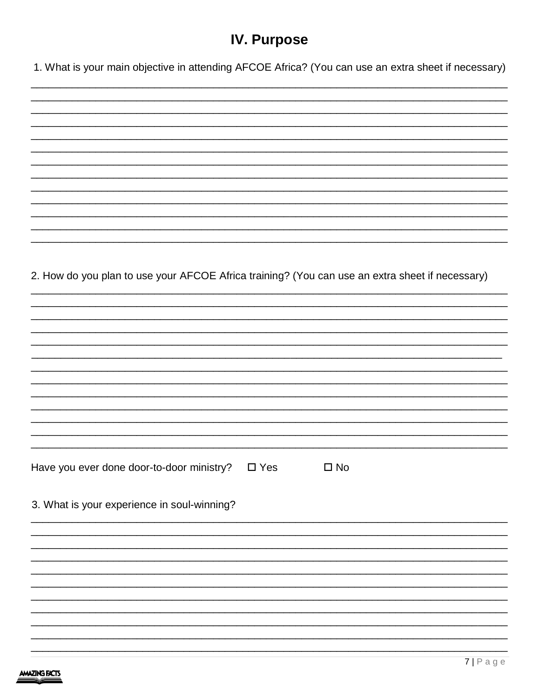# **IV. Purpose**

1. What is your main objective in attending AFCOE Africa? (You can use an extra sheet if necessary)